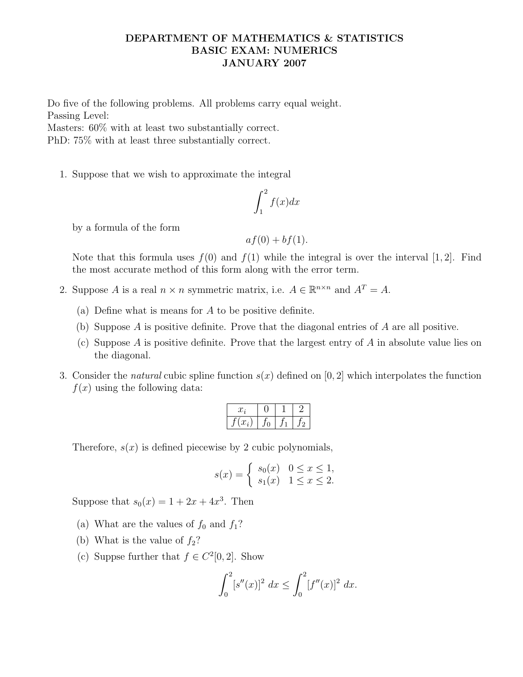## DEPARTMENT OF MATHEMATICS & STATISTICS BASIC EXAM: NUMERICS JANUARY 2007

Do five of the following problems. All problems carry equal weight. Passing Level:

Masters: 60% with at least two substantially correct.

PhD: 75% with at least three substantially correct.

1. Suppose that we wish to approximate the integral

$$
\int_{1}^{2} f(x)dx
$$

by a formula of the form

$$
af(0) + bf(1).
$$

Note that this formula uses  $f(0)$  and  $f(1)$  while the integral is over the interval [1, 2]. Find the most accurate method of this form along with the error term.

- 2. Suppose A is a real  $n \times n$  symmetric matrix, i.e.  $A \in \mathbb{R}^{n \times n}$  and  $A^T = A$ .
	- (a) Define what is means for A to be positive definite.
	- (b) Suppose A is positive definite. Prove that the diagonal entries of A are all positive.
	- (c) Suppose A is positive definite. Prove that the largest entry of A in absolute value lies on the diagonal.
- 3. Consider the *natural* cubic spline function  $s(x)$  defined on [0, 2] which interpolates the function  $f(x)$  using the following data:

| $\mathcal{L}_l$         |  |  |
|-------------------------|--|--|
| $\overline{\mathbf{a}}$ |  |  |

Therefore,  $s(x)$  is defined piecewise by 2 cubic polynomials,

$$
s(x) = \begin{cases} s_0(x) & 0 \le x \le 1, \\ s_1(x) & 1 \le x \le 2. \end{cases}
$$

Suppose that  $s_0(x) = 1 + 2x + 4x^3$ . Then

- (a) What are the values of  $f_0$  and  $f_1$ ?
- (b) What is the value of  $f_2$ ?
- (c) Suppse further that  $f \in C^2[0,2]$ . Show

$$
\int_0^2 [s''(x)]^2 dx \le \int_0^2 [f''(x)]^2 dx.
$$